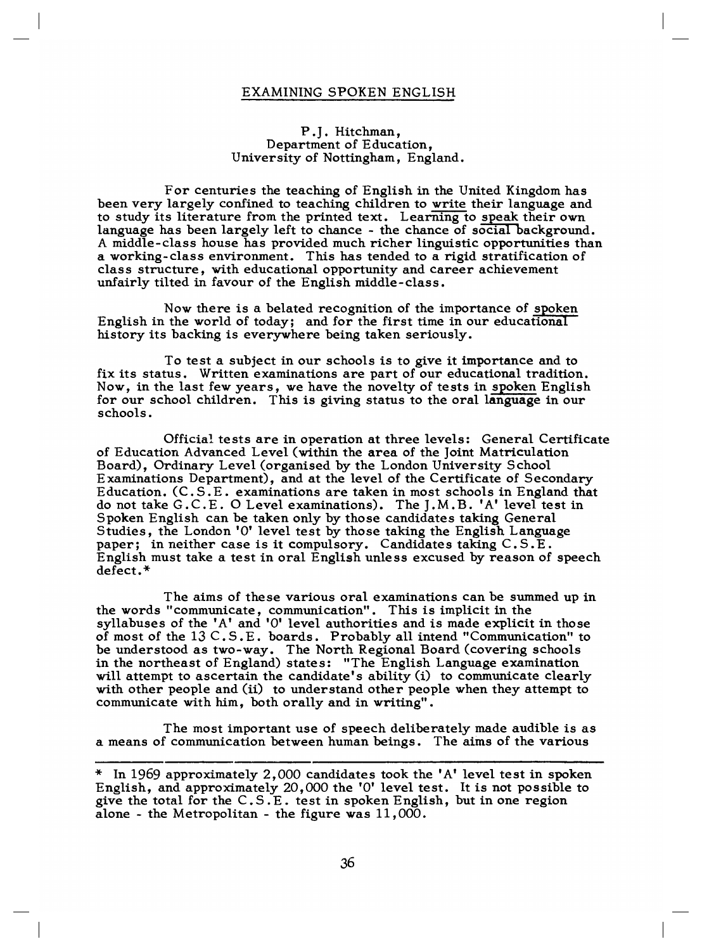## EXAMINING SPOKEN ENGLISH

## P.J. Hitchman, Department of Education, University of Nottingham, England.

For centuries the teaching of English in the United Kingdom has been very largely confined to teaching children to write their language and to study its literature from the printed text. Learning to speak their own language has been largely left to chance - the chance of social background. A middle-class house has provided much richer linguistic opportunities than a working-class environment. This has tended to a rigid stratification of class structure, with educational opportunity and career achievement unfairly tilted in favour of the English middle-class.

Now there is a belated recognition of the importance of spoken English in the world of today; and for the first time in our educational history its backing is everywhere being taken seriously.

To test a subject in our schools is to give it importance and to fix its status. Written examinations are part of our educational tradition. Now, in the last few years, we have the novelty of tests in spoken English for our school children. This is giving status to the oral language in our schools.

Official tests are in operation at three levels: General Certificate of Education Advanced Level (within the area of the Joint Matriculation Board), Ordinary Level (organised by the London University School Examinations Department), and at the level of the Certificate of Secondary Education. (C.S.E. examinations are taken in most schools in England that do not take G.C.E. O Level examinations). The J.M.B. 'A' level test in Spoken English can be taken only by those candidates taking General Studies, the London 'O' level test by those taking the English Language paper; in neither case is it compulsory. Candidates taking C.S.E. English must take a test in oral English unless excused by reason of speech defect.\*

The aims of these various oral examinations can be summed up in the words "communicate, communication". This is implicit in the syllabuses of the 'A' and 'O' level authorities and is made explicit in those of most of the 13 C.S.E. boards. Probably all intend "Communication" to be understood as two-way. The North Regional Board (covering schools in the northeast of England) states: "The English Language examination will attempt to ascertain the candidate's ability (i) to communicate clearly with other people and (ii) to understand other people when they attempt to communicate with him, both orally and in writing".

The most important use of speech deliberately made audible is as a means of communication between human beings. The aims of the various

<sup>\*</sup> In 1969 approximately 2,000 candidates took the 'A' level test in spoken English, and approximately 20,000 the 'O' level test. It is not possible to give the total for the C.S.E. test in spoken English, but in one region alone - the Metropolitan - the figure was 11,000.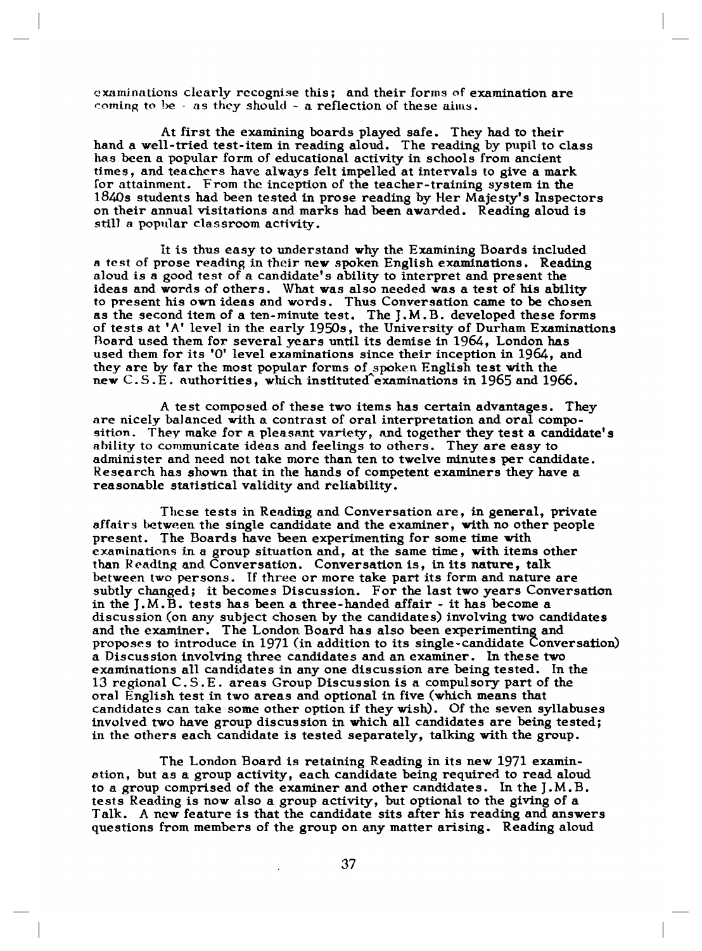examinations clearly recognise this; and their forms of examination are coming to be  $\cdot$  as they should  $\sim$  a reflection of these aims.

At first the examining boards played safe. They had to their hand a well-tried test-item in reading aloud. The reading by pupil to class has been a popular form of educational activity in schools from ancient times, and teachers have always felt impelled at intervals to give a mark for attainment. From the inception of the teacher-training system in the 1840s students had been tested in prose reading by Her Majesty's Inspectors on their annual visitations and marks had been awarded. Reading aloud is still a popular classroom activity.

It is thus easy to understand why the Examining Boards included a test of prose reading in their new spoken English examinations. Reading aloud is a good test of a candidate's ability to interpret and present the ideas and words of others. What was also needed was a test of his ability to present his own ideas and words. Thus Conversation came to be chosen as the second item of a ten-minute test. The J.M.B. developed these forms of tests at 'A' level in the early 1950s, the University of Durham Examinations Board used them for several years until its demise in 1964, London has used them for its 'O' level examinations since their inception in 1964, and they are by far the most popular forms of spoken English test with the new C.S.E. authorities, which instituted examinations in 1965 and 1966.

A test composed of these two items has certain advantages. They are nicely balanced with a contrast of oral interpretation and oral composition. They make for a pleasant variety, and together they test a candidate's ability to communicate ideas and feelings to others. They are easy to administer and need not take more than ten to twelve minutes per candidate. Research has shown that in the hands of competent examiners they have a reasonable statistical validity and reliability.

These tests in Reading and Conversation are, in general, private affairs between the single candidate and the examiner, with no other people present. The Boards have been experimenting for some time with examinations in a group situation and, at the same time, with items other than Reading and Conversation. Conversation is, in its nature, talk between two persons. If three or more take part its form and nature are subtly changed; it becomes Discussion. For the last two years Conversation in the J.M.B. tests has been a three-handed affair - it has become a discussion (on any subject chosen by the candidates) involving two candidates and the examiner. The London Board has also been experimenting and proposes to introduce in 1971 (in addition to its single-candidate Conversation) a Discussion involving three candidates and an examiner. In these two examinations all candidates in any one discussion are being tested. In the 13 regional C.S.E. areas Group Discussion is a compulsory part of the oral English test in two areas and optional in five (which means that candidates can take some other option if they wish). Of the seven syllabuses involved two have group discussion in which all candidates are being tested; in the others each candidate is tested separately, talking with the group.

The London Board is retaining Reading in its new 1971 examination, but as a group activity, each candidate being required to read aloud to a group comprised of the examiner and other candidates. In the J.M.B. tests Reading is now also a group activity, but optional to the giving of a Talk. A new feature is that the candidate sits after his reading and answers questions from members of the group on any matter arising. Reading aloud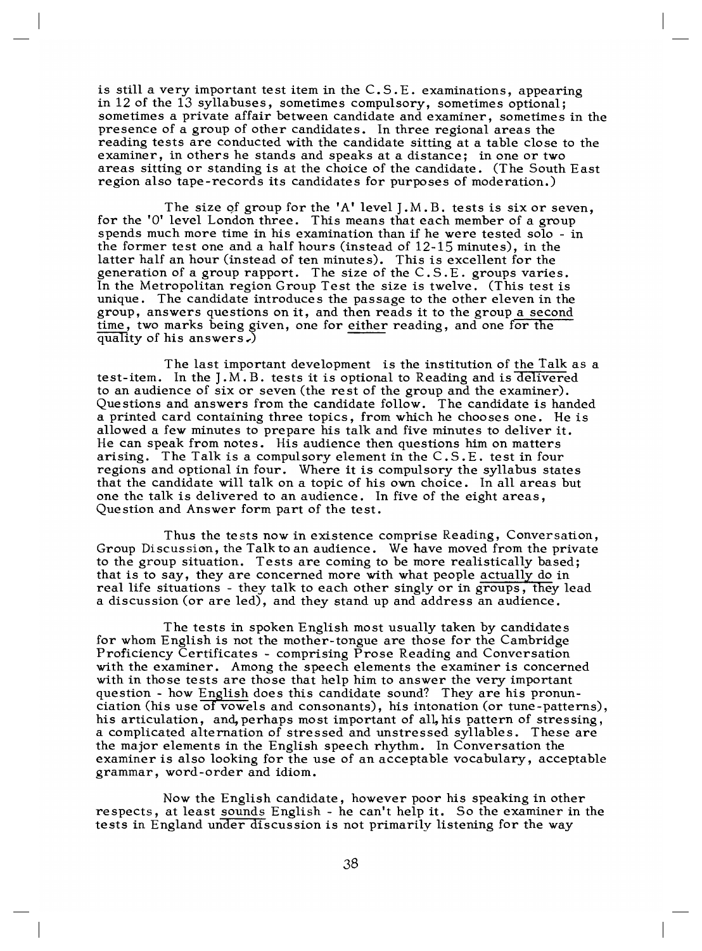is still a very important test item in the C.S.E. examinations, appearing in 12 of the 13 syllabuses, sometimes compulsory, sometimes optional; sometimes a private affair between candidate and examiner, sometimes in the presence of a group of other candidates. In three regional areas the reading tests are conducted with the candidate sitting at a table close to the examiner, in others he stands and speaks at a distance; in one or two areas sitting or standing is at the choice of the candidate. (The South East region also tape-records its candidates for purposes of moderation.)

The size of group for the 'A' level J.M.B. tests is six or seven. for the 'O' level London three. This means that each member of a group spends much more time in his examination than if he were tested solo - in the former test one and a half hours (instead of  $12-15$  minutes), in the latter half an hour (instead of ten minutes). This is excellent for the generation of a group rapport. The size of the C.S.E. groups varies. In the Metropolitan region Group Test the size is twelve. (This test is unique. The candidate introduces the passage to the other eleven in the group, answers questions on it, and then reads it to the group a second time, two marks being given, one for either reading, and one for the quality of his answers.)

The last important development is the institution of the Talk as a test-item. In the J.M.B. tests it is optional to Reading and is delivered to an audience of six or seven (the rest of the group and the examiner). Questions and answers from the candidate follow. The candidate is handed a printed card containing three topics, from which he chooses one. He is allowed a few minutes to prepare his talk and five minutes to deliver it. He can speak from notes. His audience then questions him on matters arising. The Talk is a compulsory element in the C.S.E. test in four regions and optional in four. Where it is compulsory the syllabus states that the candidate will talk on a topic of his own choice. In all areas but one the talk is delivered to an audience. In five of the eight areas, Question and Answer form part of the test.

Thus the tests now in existence comprise Reading, Conversation, Group Discussion, the Talk to an audience. We have moved from the private to the group situation. Tests are coming to be more realistically based; that is to say, they are concerned more with what people actually do in real life situations - they talk to each other singly or in groups, they lead a discussion (or are led), and they stand up and address an audience.

The tests in spoken English most usually taken by candidates for whom English is not the mother-tongue are those for the Cambridge Proficiency Certificates - comprising Prose Reading and Conversation with the examiner. Among the speech elements the examiner is concerned with in those tests are those that help him to answer the very important question - how English does this candidate sound? They are his pronunciation (his use of vowels and consonants), his intonation (or tune-patterns), his articulation, and, perhaps most important of all, his pattern of stressing, a complicated alternation of stressed and unstressed syllables. These are the major elements in the English speech rhythm. In Conversation the examiner is also looking for the use of an acceptable vocabulary, acceptable grammar, word-order and idiom.

Now the English candidate, however poor his speaking in other respects, at least sounds English - he can't help it. So the examiner in the tests in England under discussion is not primarily listening for the way